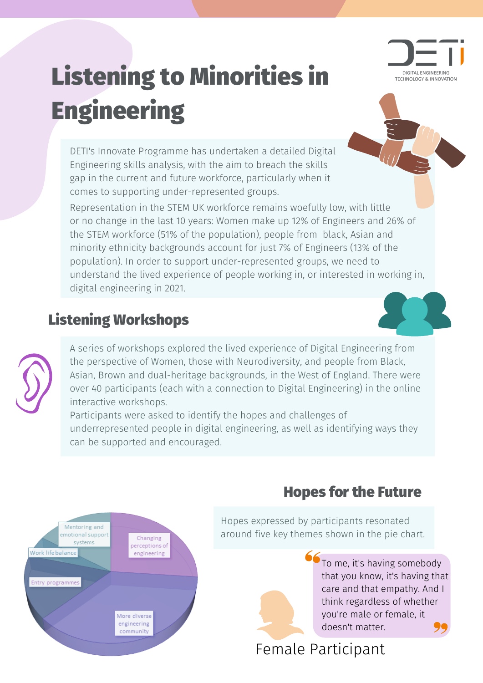# Listening to Minorities in **Engineering**



DETI's Innovate Programme has undertaken a detailed Digital Engineering skills analysis, with the aim to breach the skills gap in the current and future workforce, particularly when it comes to supporting under-represented groups.

Representation in the STEM UK workforce remains woefully low, with little or no change in the last 10 years: Women make up 12% of Engineers and 26% of the STEM workforce (51% of the population), people from black, Asian and minority ethnicity backgrounds account for just 7% of Engineers (13% of the population). In order to support under-represented groups, we need to understand the lived experience of people working in, or interested in working in, digital engineering in 2021.

## Listening Workshops

A series of workshops explored the lived experience of Digital Engineering from the perspective of Women, those with Neurodiversity, and people from Black, Asian, Brown and dual-heritage backgrounds, in the West of England. There were over 40 participants (each with a connection to Digital Engineering) in the online interactive workshops.

Participants were asked to identify the hopes and challenges of underrepresented people in digital engineering, as well as identifying ways they can be supported and encouraged.



## Hopes for the Future

Hopes expressed by participants resonated around five key themes shown in the pie chart.



To me, it's having somebody that you know, it's having that care and that empathy. And I think regardless of whether you're male or female, it doesn't matter.

#### Female Participant